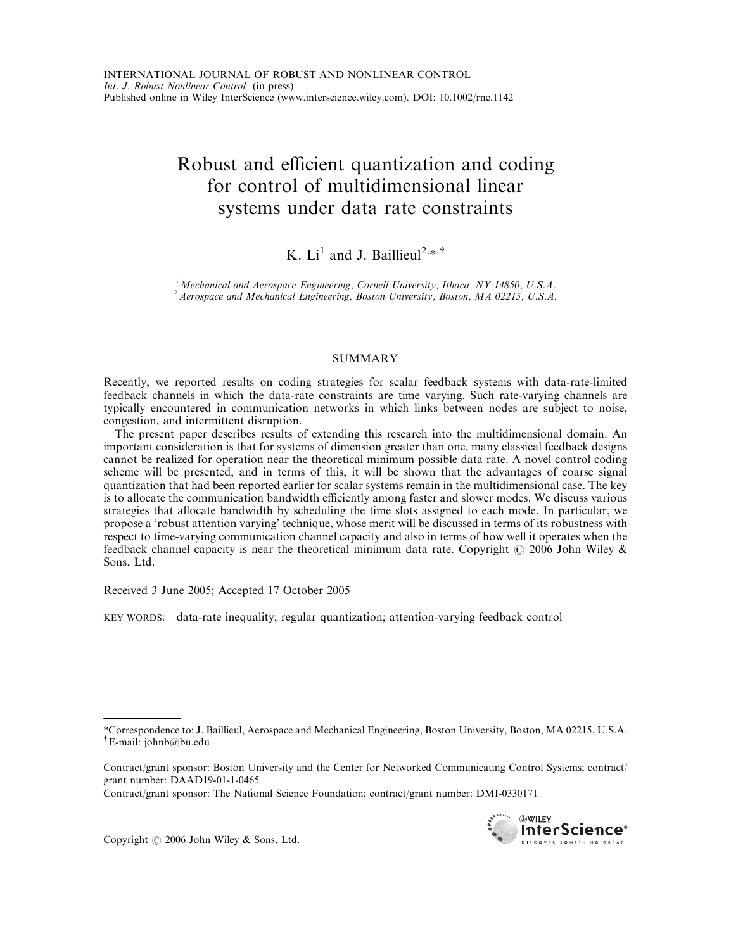# Robust and efficient quantization and coding for control of multidimensional linear systems under data rate constraints

## K. Li<sup>1</sup> and J. Baillieul<sup>2,\*,†</sup>

 $\frac{1}{2}$ Mechanical and Aerospace Engineering, Cornell University, Ithaca, NY 14850, U.S.A.  $^{2}$  Aerospace and Mechanical Engineering, Boston University, Boston, MA 02215, U.S.A.

### SUMMARY

Recently, we reported results on coding strategies for scalar feedback systems with data-rate-limited feedback channels in which the data-rate constraints are time varying. Such rate-varying channels are typically encountered in communication networks in which links between nodes are subject to noise, congestion, and intermittent disruption.

The present paper describes results of extending this research into the multidimensional domain. An important consideration is that for systems of dimension greater than one, many classical feedback designs cannot be realized for operation near the theoretical minimum possible data rate. A novel control coding scheme will be presented, and in terms of this, it will be shown that the advantages of coarse signal quantization that had been reported earlier for scalar systems remain in the multidimensional case. The key is to allocate the communication bandwidth efficiently among faster and slower modes. We discuss various strategies that allocate bandwidth by scheduling the time slots assigned to each mode. In particular, we propose a 'robust attention varying' technique, whose merit will be discussed in terms of its robustness with respect to time-varying communication channel capacity and also in terms of how well it operates when the feedback channel capacity is near the theoretical minimum data rate. Copyright  $\odot$  2006 John Wiley & Sons, Ltd.

Received 3 June 2005; Accepted 17 October 2005

KEY WORDS: data-rate inequality; regular quantization; attention-varying feedback control

Contract/grant sponsor: The National Science Foundation; contract/grant number: DMI-0330171



Copyright  $\odot$  2006 John Wiley & Sons, Ltd.

<sup>\*</sup>Correspondence to: J. Baillieul, Aerospace and Mechanical Engineering, Boston University, Boston, MA 02215, U.S.A. <sup>†</sup> E-mail: johnb@bu.edu

Contract/grant sponsor: Boston University and the Center for Networked Communicating Control Systems; contract/ grant number: DAAD19-01-1-0465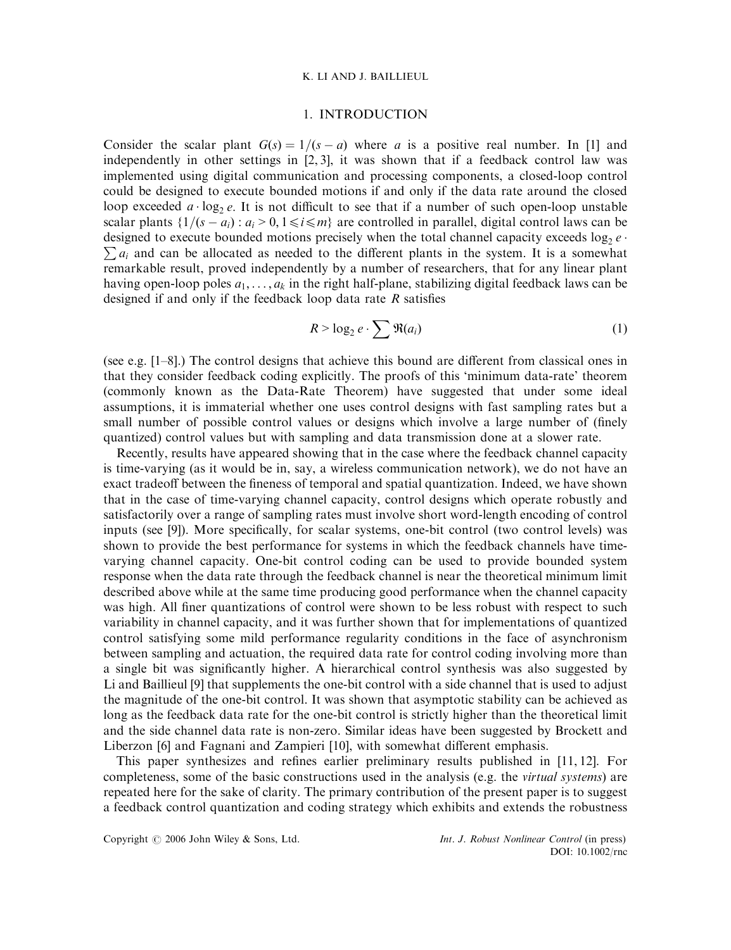#### 1. INTRODUCTION

Consider the scalar plant  $G(s) = 1/(s-a)$  where a is a positive real number. In [1] and independently in other settings in [2, 3], it was shown that if a feedback control law was implemented using digital communication and processing components, a closed-loop control could be designed to execute bounded motions if and only if the data rate around the closed loop exceeded  $a \cdot \log_2 e$ . It is not difficult to see that if a number of such open-loop unstable scalar plants  $\{1/(s-a_i): a_i > 0, 1 \le i \le m\}$  are controlled in parallel, digital control laws can be designed to execute bounded motions precisely when the total channel capacity exceeds  $\log_2 e$ .  $\sum a_i$  and can be allocated as needed to the different plants in the system. It is a somewhat remarkable result, proved independently by a number of researchers, that for any linear plant having open-loop poles  $a_1, \ldots, a_k$  in the right half-plane, stabilizing digital feedback laws can be designed if and only if the feedback loop data rate  $R$  satisfies

$$
R > \log_2 e \cdot \sum \Re(a_i) \tag{1}
$$

(see e.g. [1–8].) The control designs that achieve this bound are different from classical ones in that they consider feedback coding explicitly. The proofs of this 'minimum data-rate' theorem (commonly known as the Data-Rate Theorem) have suggested that under some ideal assumptions, it is immaterial whether one uses control designs with fast sampling rates but a small number of possible control values or designs which involve a large number of (finely quantized) control values but with sampling and data transmission done at a slower rate.

Recently, results have appeared showing that in the case where the feedback channel capacity is time-varying (as it would be in, say, a wireless communication network), we do not have an exact tradeoff between the fineness of temporal and spatial quantization. Indeed, we have shown that in the case of time-varying channel capacity, control designs which operate robustly and satisfactorily over a range of sampling rates must involve short word-length encoding of control inputs (see [9]). More specifically, for scalar systems, one-bit control (two control levels) was shown to provide the best performance for systems in which the feedback channels have timevarying channel capacity. One-bit control coding can be used to provide bounded system response when the data rate through the feedback channel is near the theoretical minimum limit described above while at the same time producing good performance when the channel capacity was high. All finer quantizations of control were shown to be less robust with respect to such variability in channel capacity, and it was further shown that for implementations of quantized control satisfying some mild performance regularity conditions in the face of asynchronism between sampling and actuation, the required data rate for control coding involving more than a single bit was significantly higher. A hierarchical control synthesis was also suggested by Li and Baillieul [9] that supplements the one-bit control with a side channel that is used to adjust the magnitude of the one-bit control. It was shown that asymptotic stability can be achieved as long as the feedback data rate for the one-bit control is strictly higher than the theoretical limit and the side channel data rate is non-zero. Similar ideas have been suggested by Brockett and Liberzon [6] and Fagnani and Zampieri [10], with somewhat different emphasis.

This paper synthesizes and refines earlier preliminary results published in [11, 12]. For completeness, some of the basic constructions used in the analysis (e.g. the *virtual systems*) are repeated here for the sake of clarity. The primary contribution of the present paper is to suggest a feedback control quantization and coding strategy which exhibits and extends the robustness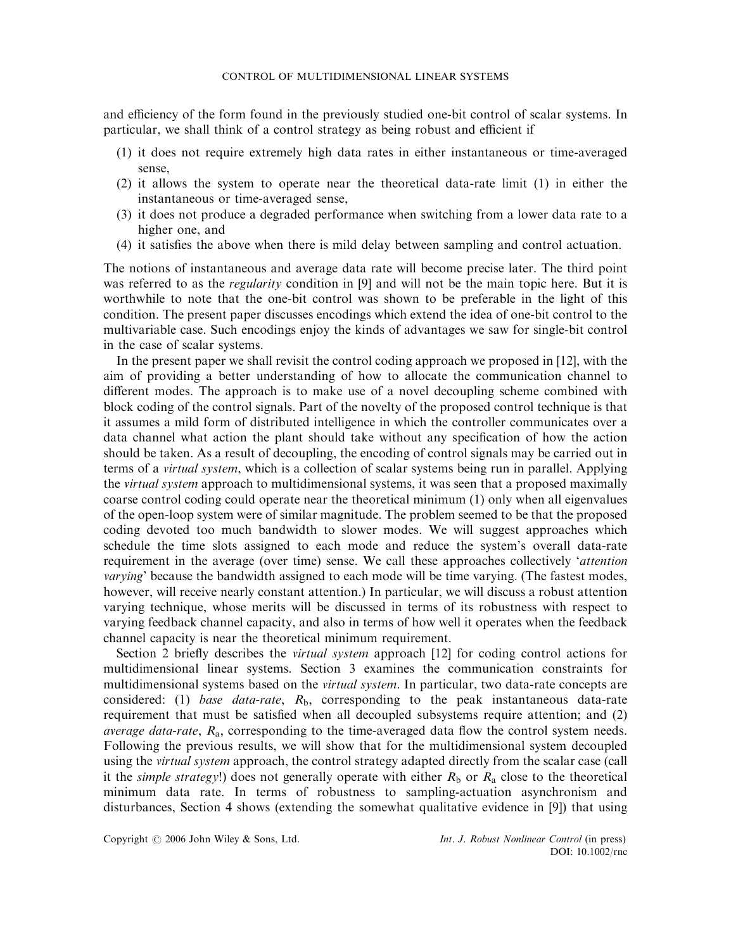and efficiency of the form found in the previously studied one-bit control of scalar systems. In particular, we shall think of a control strategy as being robust and efficient if

- (1) it does not require extremely high data rates in either instantaneous or time-averaged sense,
- (2) it allows the system to operate near the theoretical data-rate limit (1) in either the instantaneous or time-averaged sense,
- (3) it does not produce a degraded performance when switching from a lower data rate to a higher one, and
- (4) it satisfies the above when there is mild delay between sampling and control actuation.

The notions of instantaneous and average data rate will become precise later. The third point was referred to as the *regularity* condition in [9] and will not be the main topic here. But it is worthwhile to note that the one-bit control was shown to be preferable in the light of this condition. The present paper discusses encodings which extend the idea of one-bit control to the multivariable case. Such encodings enjoy the kinds of advantages we saw for single-bit control in the case of scalar systems.

In the present paper we shall revisit the control coding approach we proposed in [12], with the aim of providing a better understanding of how to allocate the communication channel to different modes. The approach is to make use of a novel decoupling scheme combined with block coding of the control signals. Part of the novelty of the proposed control technique is that it assumes a mild form of distributed intelligence in which the controller communicates over a data channel what action the plant should take without any specification of how the action should be taken. As a result of decoupling, the encoding of control signals may be carried out in terms of a virtual system, which is a collection of scalar systems being run in parallel. Applying the *virtual system* approach to multidimensional systems, it was seen that a proposed maximally coarse control coding could operate near the theoretical minimum (1) only when all eigenvalues of the open-loop system were of similar magnitude. The problem seemed to be that the proposed coding devoted too much bandwidth to slower modes. We will suggest approaches which schedule the time slots assigned to each mode and reduce the system's overall data-rate requirement in the average (over time) sense. We call these approaches collectively 'attention varying' because the bandwidth assigned to each mode will be time varying. (The fastest modes, however, will receive nearly constant attention.) In particular, we will discuss a robust attention varying technique, whose merits will be discussed in terms of its robustness with respect to varying feedback channel capacity, and also in terms of how well it operates when the feedback channel capacity is near the theoretical minimum requirement.

Section 2 briefly describes the *virtual system* approach [12] for coding control actions for multidimensional linear systems. Section 3 examines the communication constraints for multidimensional systems based on the *virtual system*. In particular, two data-rate concepts are considered: (1) base data-rate,  $R<sub>b</sub>$ , corresponding to the peak instantaneous data-rate requirement that must be satisfied when all decoupled subsystems require attention; and (2) *average data-rate*,  $R_a$ , corresponding to the time-averaged data flow the control system needs. Following the previous results, we will show that for the multidimensional system decoupled using the *virtual system* approach, the control strategy adapted directly from the scalar case (call it the *simple strategy*!) does not generally operate with either  $R_b$  or  $R_a$  close to the theoretical minimum data rate. In terms of robustness to sampling-actuation asynchronism and disturbances, Section 4 shows (extending the somewhat qualitative evidence in [9]) that using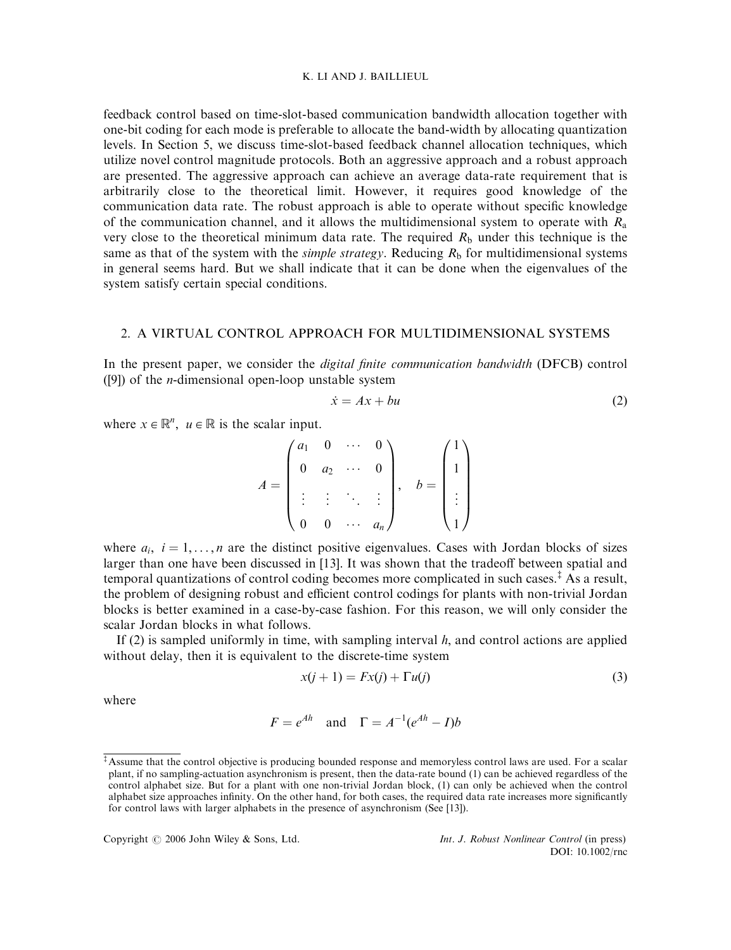feedback control based on time-slot-based communication bandwidth allocation together with one-bit coding for each mode is preferable to allocate the band-width by allocating quantization levels. In Section 5, we discuss time-slot-based feedback channel allocation techniques, which utilize novel control magnitude protocols. Both an aggressive approach and a robust approach are presented. The aggressive approach can achieve an average data-rate requirement that is arbitrarily close to the theoretical limit. However, it requires good knowledge of the communication data rate. The robust approach is able to operate without specific knowledge of the communication channel, and it allows the multidimensional system to operate with  $R_a$ very close to the theoretical minimum data rate. The required  $R<sub>b</sub>$  under this technique is the same as that of the system with the *simple strategy*. Reducing  $R<sub>b</sub>$  for multidimensional systems in general seems hard. But we shall indicate that it can be done when the eigenvalues of the system satisfy certain special conditions.

## 2. A VIRTUAL CONTROL APPROACH FOR MULTIDIMENSIONAL SYSTEMS

In the present paper, we consider the digital finite communication bandwidth (DFCB) control ([9]) of the n-dimensional open-loop unstable system

$$
\dot{x} = Ax + bu \tag{2}
$$

where  $x \in \mathbb{R}^n$ ,  $u \in \mathbb{R}$  is the scalar input.

$$
A = \begin{pmatrix} a_1 & 0 & \cdots & 0 \\ 0 & a_2 & \cdots & 0 \\ \vdots & \vdots & \ddots & \vdots \\ 0 & 0 & \cdots & a_n \end{pmatrix}, \quad b = \begin{pmatrix} 1 \\ 1 \\ \vdots \\ 1 \end{pmatrix}
$$

where  $a_i$ ,  $i = 1, \ldots, n$  are the distinct positive eigenvalues. Cases with Jordan blocks of sizes larger than one have been discussed in [13]. It was shown that the tradeoff between spatial and temporal quantizations of control coding becomes more complicated in such cases.<sup>‡</sup> As a result, the problem of designing robust and efficient control codings for plants with non-trivial Jordan blocks is better examined in a case-by-case fashion. For this reason, we will only consider the scalar Jordan blocks in what follows.

If (2) is sampled uniformly in time, with sampling interval  $h$ , and control actions are applied without delay, then it is equivalent to the discrete-time system

$$
x(j + 1) = Fx(j) + \Gamma u(j)
$$
\n(3)

where

$$
F = e^{Ah}
$$
 and  $\Gamma = A^{-1}(e^{Ah} - I)b$ 

<sup>&</sup>lt;sup>‡</sup>Assume that the control objective is producing bounded response and memoryless control laws are used. For a scalar plant, if no sampling-actuation asynchronism is present, then the data-rate bound (1) can be achieved regardless of the control alphabet size. But for a plant with one non-trivial Jordan block, (1) can only be achieved when the control alphabet size approaches infinity. On the other hand, for both cases, the required data rate increases more significantly for control laws with larger alphabets in the presence of asynchronism (See [13]).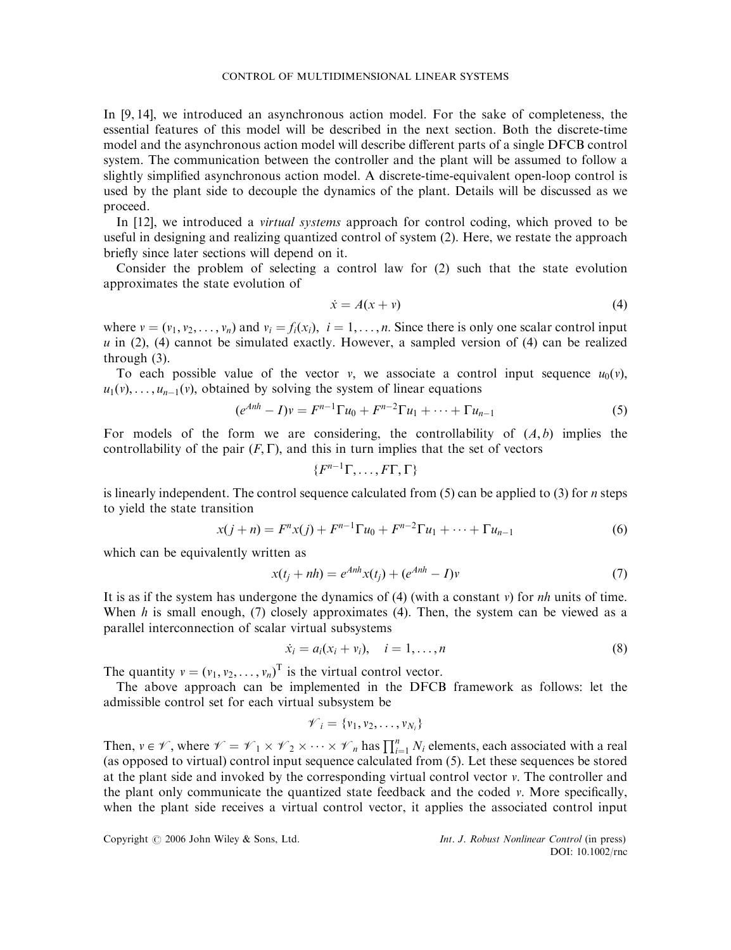## CONTROL OF MULTIDIMENSIONAL LINEAR SYSTEMS

In [9, 14], we introduced an asynchronous action model. For the sake of completeness, the essential features of this model will be described in the next section. Both the discrete-time model and the asynchronous action model will describe different parts of a single DFCB control system. The communication between the controller and the plant will be assumed to follow a slightly simplified asynchronous action model. A discrete-time-equivalent open-loop control is used by the plant side to decouple the dynamics of the plant. Details will be discussed as we proceed.

In [12], we introduced a *virtual systems* approach for control coding, which proved to be useful in designing and realizing quantized control of system (2). Here, we restate the approach briefly since later sections will depend on it.

Consider the problem of selecting a control law for (2) such that the state evolution approximates the state evolution of

$$
\dot{x} = A(x + v) \tag{4}
$$

where  $v = (v_1, v_2, \ldots, v_n)$  and  $v_i = f_i(x_i)$ ,  $i = 1, \ldots, n$ . Since there is only one scalar control input  $u$  in (2), (4) cannot be simulated exactly. However, a sampled version of (4) can be realized through (3).

To each possible value of the vector v, we associate a control input sequence  $u_0(v)$ ,  $u_1(v), \ldots, u_{n-1}(v)$ , obtained by solving the system of linear equations

$$
(e^{Anh} - I)v = F^{n-1}\Gamma u_0 + F^{n-2}\Gamma u_1 + \dots + \Gamma u_{n-1}
$$
 (5)

For models of the form we are considering, the controllability of  $(A, b)$  implies the controllability of the pair  $(F, \Gamma)$ , and this in turn implies that the set of vectors

$$
\{F^{n-1}\Gamma,\ldots,F\Gamma,\Gamma\}
$$

is linearly independent. The control sequence calculated from  $(5)$  can be applied to  $(3)$  for *n* steps to yield the state transition

$$
x(j+n) = F^{n}x(j) + F^{n-1}\Gamma u_0 + F^{n-2}\Gamma u_1 + \dots + \Gamma u_{n-1}
$$
\n(6)

which can be equivalently written as

$$
x(t_j + nh) = e^{Anh}x(t_j) + (e^{Anh} - I)v
$$
\n(7)

It is as if the system has undergone the dynamics of  $(4)$  (with a constant v) for *nh* units of time. When h is small enough, (7) closely approximates (4). Then, the system can be viewed as a parallel interconnection of scalar virtual subsystems

$$
\dot{x}_i = a_i(x_i + v_i), \quad i = 1, \dots, n
$$
\n<sup>(8)</sup>

The quantity  $v = (v_1, v_2, \dots, v_n)^T$  is the virtual control vector.

The above approach can be implemented in the DFCB framework as follows: let the admissible control set for each virtual subsystem be

$$
\mathscr{V}_i = \{v_1, v_2, \ldots, v_{N_i}\}
$$

Then,  $v \in \mathscr{V}$ , where  $\mathscr{V} = \mathscr{V}_1 \times \mathscr{V}_2 \times \cdots \times \mathscr{V}_n$  has  $\prod_{i=1}^n N_i$  elements, each associated with a real (as opposed to virtual) control input sequence calculated from (5). Let these sequences be stored at the plant side and invoked by the corresponding virtual control vector  $\nu$ . The controller and the plant only communicate the quantized state feedback and the coded  $\nu$ . More specifically, when the plant side receives a virtual control vector, it applies the associated control input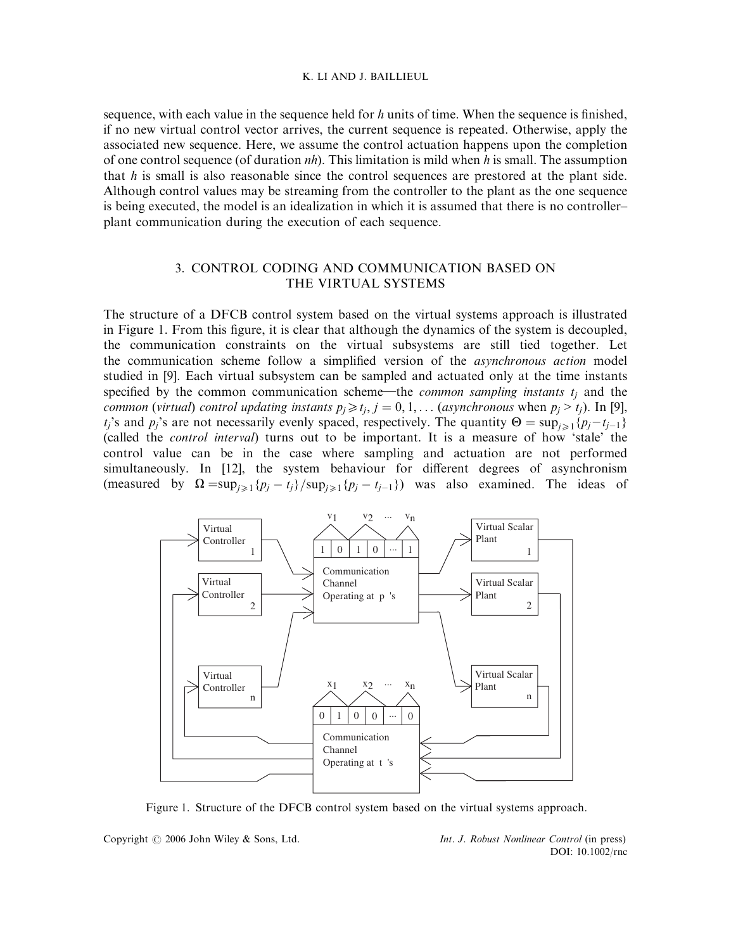sequence, with each value in the sequence held for  $h$  units of time. When the sequence is finished, if no new virtual control vector arrives, the current sequence is repeated. Otherwise, apply the associated new sequence. Here, we assume the control actuation happens upon the completion of one control sequence (of duration  $nh$ ). This limitation is mild when h is small. The assumption that  $h$  is small is also reasonable since the control sequences are prestored at the plant side. Although control values may be streaming from the controller to the plant as the one sequence is being executed, the model is an idealization in which it is assumed that there is no controller– plant communication during the execution of each sequence.

## 3. CONTROL CODING AND COMMUNICATION BASED ON THE VIRTUAL SYSTEMS

The structure of a DFCB control system based on the virtual systems approach is illustrated in Figure 1. From this figure, it is clear that although the dynamics of the system is decoupled, the communication constraints on the virtual subsystems are still tied together. Let the communication scheme follow a simplified version of the asynchronous action model studied in [9]. Each virtual subsystem can be sampled and actuated only at the time instants specified by the common communication scheme—the *common sampling instants*  $t_i$  and the common (virtual) control updating instants  $p_j \ge t_j$ ,  $j = 0, 1, \ldots$  (asynchronous when  $p_j > t_j$ ). In [9],  $t_i$ 's and  $p_i$ 's are not necessarily evenly spaced, respectively. The quantity  $\Theta = \sup_{i>1} \{p_i - t_{i-1}\}\}$ (called the control interval) turns out to be important. It is a measure of how 'stale' the control value can be in the case where sampling and actuation are not performed simultaneously. In [12], the system behaviour for different degrees of asynchronism (measured by  $\Omega = \sup_{i \geq 1} \{p_i - t_i\} / \sup_{i \geq 1} \{p_i - t_{i-1}\}$ ) was also examined. The ideas of



Figure 1. Structure of the DFCB control system based on the virtual systems approach.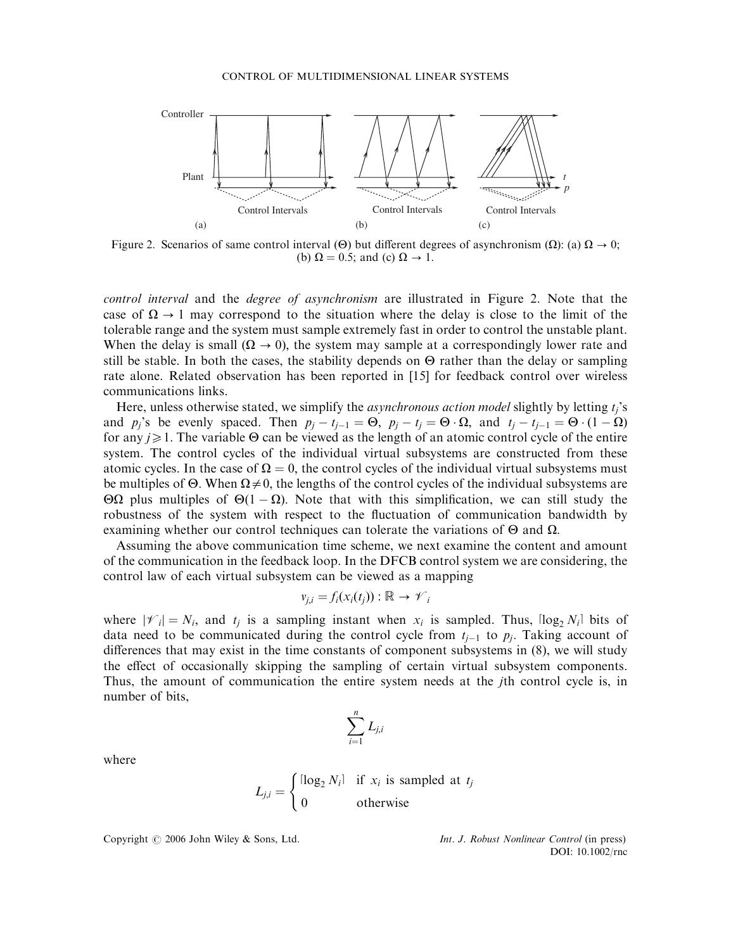

Figure 2. Scenarios of same control interval  $(\Theta)$  but different degrees of asynchronism  $(\Omega)$ : (a)  $\Omega \to 0$ ; (b)  $\Omega = 0.5$ ; and (c)  $\Omega \rightarrow 1$ .

control interval and the *degree of asynchronism* are illustrated in Figure 2. Note that the case of  $\Omega \to 1$  may correspond to the situation where the delay is close to the limit of the tolerable range and the system must sample extremely fast in order to control the unstable plant. When the delay is small  $(\Omega \rightarrow 0)$ , the system may sample at a correspondingly lower rate and still be stable. In both the cases, the stability depends on  $\Theta$  rather than the delay or sampling rate alone. Related observation has been reported in [15] for feedback control over wireless communications links.

Here, unless otherwise stated, we simplify the *asynchronous action model* slightly by letting  $t_i$ 's and  $p_j$ 's be evenly spaced. Then  $p_j - t_{j-1} = \Theta$ ,  $p_j - t_j = \Theta \cdot \Omega$ , and  $t_j - t_{j-1} = \Theta \cdot (1 - \Omega)$ for any  $i \ge 1$ . The variable  $\Theta$  can be viewed as the length of an atomic control cycle of the entire system. The control cycles of the individual virtual subsystems are constructed from these atomic cycles. In the case of  $\Omega = 0$ , the control cycles of the individual virtual subsystems must be multiples of  $\Theta$ . When  $\Omega \neq 0$ , the lengths of the control cycles of the individual subsystems are  $\Theta\Omega$  plus multiples of  $\Theta(1 - \Omega)$ . Note that with this simplification, we can still study the robustness of the system with respect to the fluctuation of communication bandwidth by examining whether our control techniques can tolerate the variations of  $\Theta$  and  $\Omega$ .

Assuming the above communication time scheme, we next examine the content and amount of the communication in the feedback loop. In the DFCB control system we are considering, the control law of each virtual subsystem can be viewed as a mapping

$$
v_{j,i} = f_i(x_i(t_j)) : \mathbb{R} \to \mathscr{V}_i
$$

where  $|\mathcal{V}_i| = N_i$ , and  $t_j$  is a sampling instant when  $x_i$  is sampled. Thus,  $\log_2 N_i$  bits of data need to be communicated during the control cycle from  $t_{i-1}$  to  $p_i$ . Taking account of differences that may exist in the time constants of component subsystems in (8), we will study the effect of occasionally skipping the sampling of certain virtual subsystem components. Thus, the amount of communication the entire system needs at the jth control cycle is, in number of bits,

$$
\sum_{i=1}^n L_{j,i}
$$

where

$$
L_{j,i} = \begin{cases} [\log_2 N_i] & \text{if } x_i \text{ is sampled at } t_j \\ 0 & \text{otherwise} \end{cases}
$$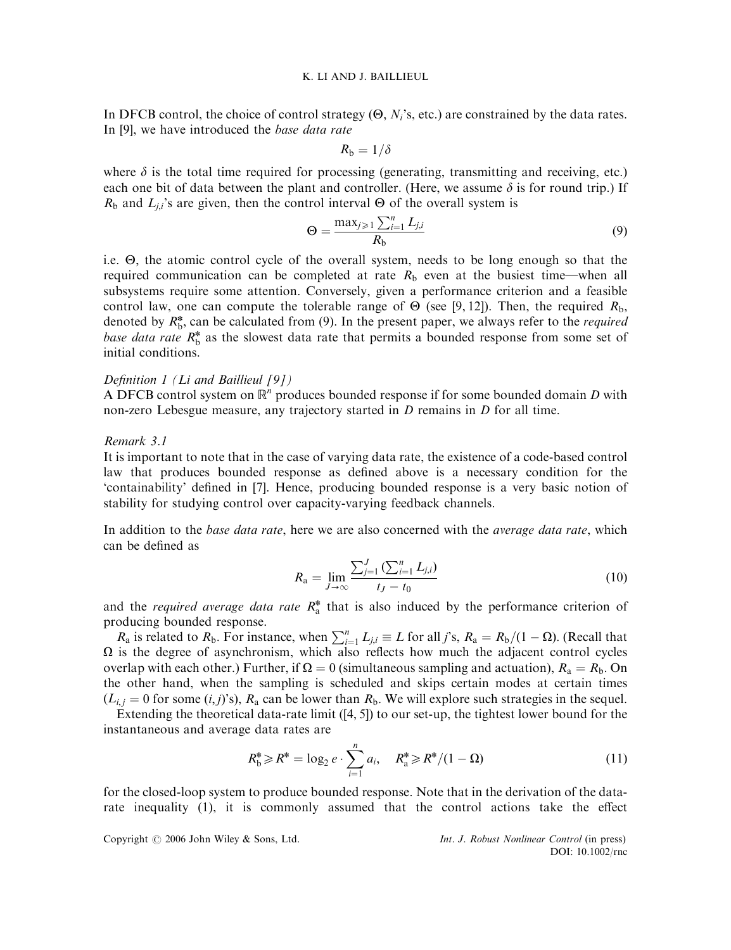In DFCB control, the choice of control strategy  $(\Theta, N_i)$ 's, etc.) are constrained by the data rates. In [9], we have introduced the base data rate

$$
R_{\rm b}=1/\delta
$$

where  $\delta$  is the total time required for processing (generating, transmitting and receiving, etc.) each one bit of data between the plant and controller. (Here, we assume  $\delta$  is for round trip.) If  $R_b$  and  $L_{i,i}$ 's are given, then the control interval  $\Theta$  of the overall system is

$$
\Theta = \frac{\max_{j\geq 1} \sum_{i=1}^{n} L_{j,i}}{R_{\text{b}}} \tag{9}
$$

i.e.  $\Theta$ , the atomic control cycle of the overall system, needs to be long enough so that the required communication can be completed at rate  $R<sub>b</sub>$  even at the busiest time—when all subsystems require some attention. Conversely, given a performance criterion and a feasible control law, one can compute the tolerable range of  $\Theta$  (see [9, 12]). Then, the required  $R_{\rm b}$ , denoted by  $R_b^*$ , can be calculated from (9). In the present paper, we always refer to the *required* base data rate  $R_b^*$  as the slowest data rate that permits a bounded response from some set of initial conditions.

## Definition 1 (Li and Baillieul [9])

A DFCB control system on  $\mathbb{R}^n$  produces bounded response if for some bounded domain D with non-zero Lebesgue measure, any trajectory started in  $D$  remains in  $D$  for all time.

## Remark 3.1

It is important to note that in the case of varying data rate, the existence of a code-based control law that produces bounded response as defined above is a necessary condition for the 'containability' defined in [7]. Hence, producing bounded response is a very basic notion of stability for studying control over capacity-varying feedback channels.

In addition to the *base data rate*, here we are also concerned with the *average data rate*, which can be defined as

$$
R_{\rm a} = \lim_{J \to \infty} \frac{\sum_{j=1}^{J} (\sum_{i=1}^{n} L_{j,i})}{t_J - t_0}
$$
\n(10)

and the *required average data rate*  $R_a^*$  that is also induced by the performance criterion of producing bounded response.

 $R_a$  is related to  $R_b$ . For instance, when  $\sum_{i=1}^{n} L_{j,i} \equiv L$  for all j's,  $R_a = R_b/(1 - \Omega)$ . (Recall that  $\Omega$  is the degree of asynchronism, which also reflects how much the adjacent control cycles overlap with each other.) Further, if  $\Omega = 0$  (simultaneous sampling and actuation),  $R_a = R_b$ . On the other hand, when the sampling is scheduled and skips certain modes at certain times  $(L_{i,i} = 0$  for some  $(i, j)$ 's),  $R_a$  can be lower than  $R_b$ . We will explore such strategies in the sequel.

Extending the theoretical data-rate limit ([4, 5]) to our set-up, the tightest lower bound for the instantaneous and average data rates are

$$
R_b^* \ge R^* = \log_2 e \cdot \sum_{i=1}^n a_i, \quad R_a^* \ge R^*/(1 - \Omega) \tag{11}
$$

for the closed-loop system to produce bounded response. Note that in the derivation of the datarate inequality (1), it is commonly assumed that the control actions take the effect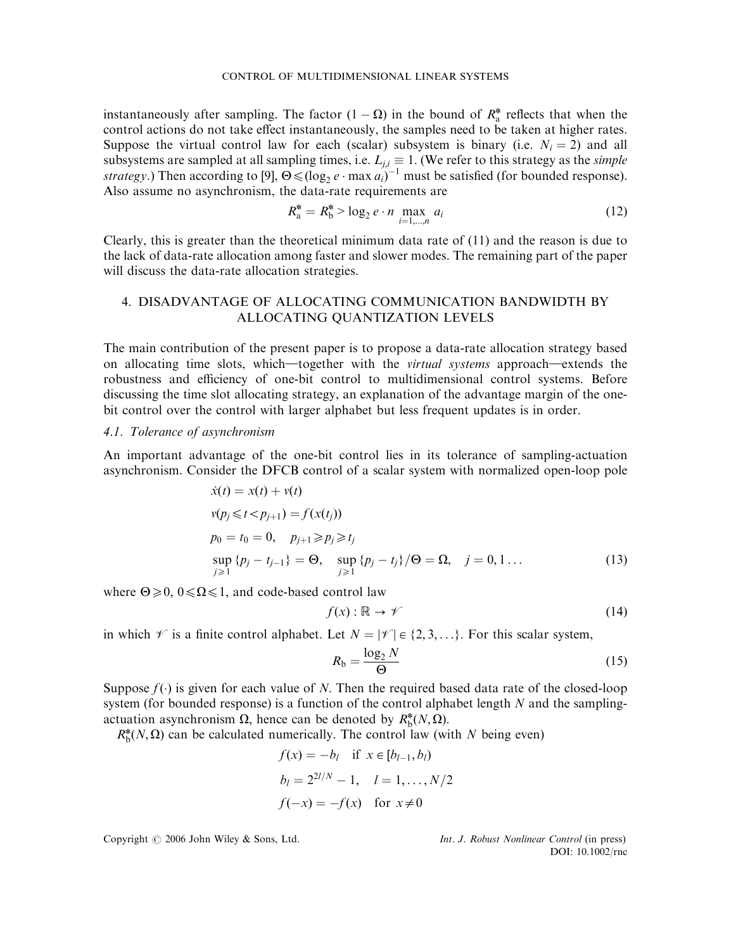instantaneously after sampling. The factor  $(1 - \Omega)$  in the bound of  $R_a^*$  reflects that when the control actions do not take effect instantaneously, the samples need to be taken at higher rates. Suppose the virtual control law for each (scalar) subsystem is binary (i.e.  $N_i = 2$ ) and all subsystems are sampled at all sampling times, i.e.  $L_{j,i} \equiv 1$ . (We refer to this strategy as the *simple* strategy.) Then according to [9],  $\Theta \leq (\log_2 e \cdot \max a_i)^{-1}$  must be satisfied (for bounded response). Also assume no asynchronism, the data-rate requirements are

$$
R_{\rm a}^* = R_{\rm b}^* > \log_2 e \cdot n \max_{i=1,\dots,n} a_i \tag{12}
$$

Clearly, this is greater than the theoretical minimum data rate of (11) and the reason is due to the lack of data-rate allocation among faster and slower modes. The remaining part of the paper will discuss the data-rate allocation strategies.

## 4. DISADVANTAGE OF ALLOCATING COMMUNICATION BANDWIDTH BY ALLOCATING QUANTIZATION LEVELS

The main contribution of the present paper is to propose a data-rate allocation strategy based on allocating time slots, which—together with the *virtual systems* approach—extends the robustness and efficiency of one-bit control to multidimensional control systems. Before discussing the time slot allocating strategy, an explanation of the advantage margin of the onebit control over the control with larger alphabet but less frequent updates is in order.

## 4.1. Tolerance of asynchronism

An important advantage of the one-bit control lies in its tolerance of sampling-actuation asynchronism. Consider the DFCB control of a scalar system with normalized open-loop pole

$$
\dot{x}(t) = x(t) + v(t)
$$
  
\n
$$
v(p_j \le t < p_{j+1}) = f(x(t_j))
$$
  
\n
$$
p_0 = t_0 = 0, \quad p_{j+1} \ge p_j \ge t_j
$$
  
\n
$$
\sup_{j \ge 1} \{p_j - t_{j-1}\} = \Theta, \quad \sup_{j \ge 1} \{p_j - t_j\} / \Theta = \Omega, \quad j = 0, 1 ...
$$
\n(13)

where  $\Theta \geq 0$ ,  $0 \leq \Omega \leq 1$ , and code-based control law

$$
f(x): \mathbb{R} \to \mathscr{V} \tag{14}
$$

in which  $\mathscr V$  is a finite control alphabet. Let  $N = |\mathscr V| \in \{2, 3, \ldots\}$ . For this scalar system,

$$
R_{\rm b} = \frac{\log_2 N}{\Theta} \tag{15}
$$

Suppose  $f(\cdot)$  is given for each value of N. Then the required based data rate of the closed-loop system (for bounded response) is a function of the control alphabet length  $N$  and the samplingactuation asynchronism  $\Omega$ , hence can be denoted by  $R_b^*(N, \Omega)$ .

 $R_b^*(N, \Omega)$  can be calculated numerically. The control law (with N being even)

$$
f(x) = -b_l \text{ if } x \in [b_{l-1}, b_l)
$$
  

$$
b_l = 2^{2l/N} - 1, \quad l = 1, ..., N/2
$$
  

$$
f(-x) = -f(x) \text{ for } x \neq 0
$$

Copyright  $\odot$  2006 John Wiley & Sons, Ltd. Int. J. Robust Nonlinear Control (in press)

DOI: 10.1002/rnc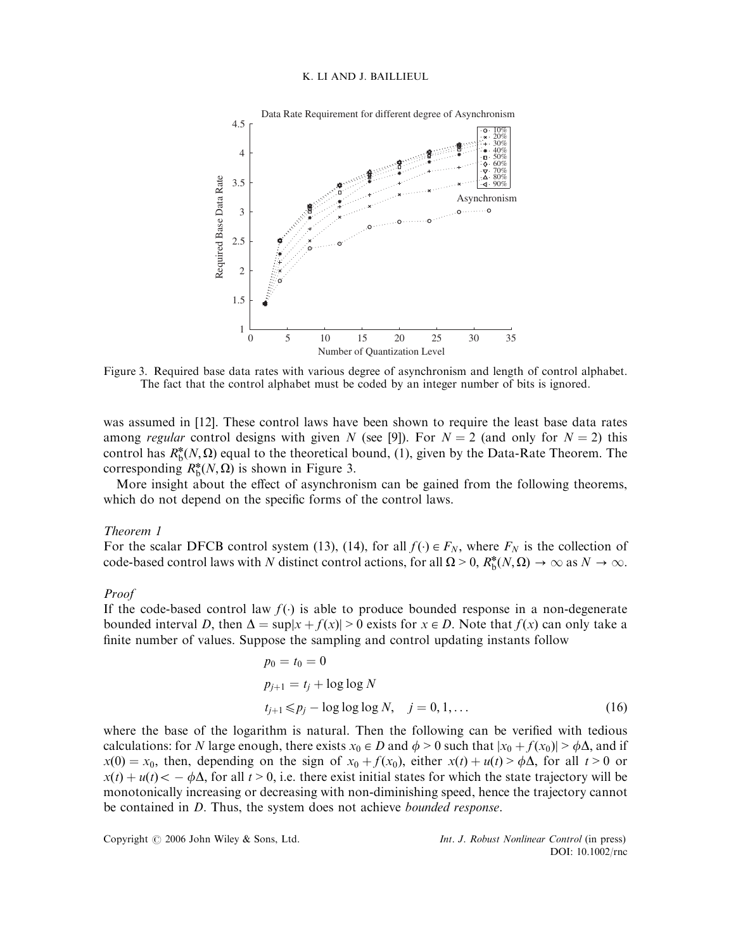

Figure 3. Required base data rates with various degree of asynchronism and length of control alphabet. The fact that the control alphabet must be coded by an integer number of bits is ignored.

was assumed in [12]. These control laws have been shown to require the least base data rates among regular control designs with given N (see [9]). For  $N = 2$  (and only for  $N = 2$ ) this control has  $R_b^*(N, \Omega)$  equal to the theoretical bound, (1), given by the Data-Rate Theorem. The corresponding  $R_b^*(N, \Omega)$  is shown in Figure 3.

More insight about the effect of asynchronism can be gained from the following theorems, which do not depend on the specific forms of the control laws.

#### Theorem 1

For the scalar DFCB control system (13), (14), for all  $f(\cdot) \in F_N$ , where  $F_N$  is the collection of code-based control laws with N distinct control actions, for all  $\Omega > 0$ ,  $R_b^*(N, \Omega) \to \infty$  as  $N \to \infty$ .

#### Proof

If the code-based control law  $f(\cdot)$  is able to produce bounded response in a non-degenerate bounded interval D, then  $\Delta = \sup|x + f(x)| > 0$  exists for  $x \in D$ . Note that  $f(x)$  can only take a finite number of values. Suppose the sampling and control updating instants follow

$$
p_0 = t_0 = 0
$$
  
\n
$$
p_{j+1} = t_j + \log \log N
$$
  
\n
$$
t_{j+1} \le p_j - \log \log \log N, \quad j = 0, 1, ...
$$
\n(16)

where the base of the logarithm is natural. Then the following can be verified with tedious calculations: for N large enough, there exists  $x_0 \in D$  and  $\phi > 0$  such that  $|x_0 + f(x_0)| > \phi \Delta$ , and if  $x(0) = x_0$ , then, depending on the sign of  $x_0 + f(x_0)$ , either  $x(t) + u(t) > \phi \Delta$ , for all  $t > 0$  or  $x(t) + u(t) < -\phi\Delta$ , for all  $t > 0$ , i.e. there exist initial states for which the state trajectory will be monotonically increasing or decreasing with non-diminishing speed, hence the trajectory cannot be contained in D. Thus, the system does not achieve *bounded response*.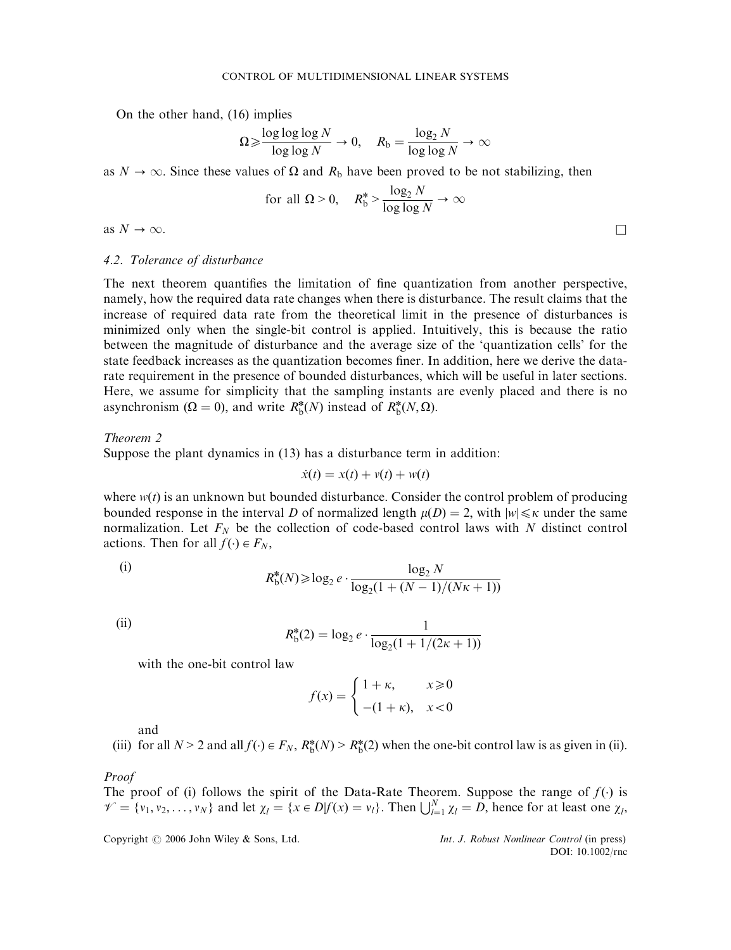On the other hand, (16) implies

$$
\Omega \ge \frac{\log \log \log N}{\log \log N} \to 0, \quad R_{\text{b}} = \frac{\log_2 N}{\log \log N} \to \infty
$$

as  $N \to \infty$ . Since these values of  $\Omega$  and  $R_b$  have been proved to be not stabilizing, then

for all 
$$
\Omega > 0
$$
,  $R_b^* > \frac{\log_2 N}{\log \log N} \to \infty$ 

as  $N \to \infty$ .

## 4.2. Tolerance of disturbance

The next theorem quantifies the limitation of fine quantization from another perspective, namely, how the required data rate changes when there is disturbance. The result claims that the increase of required data rate from the theoretical limit in the presence of disturbances is minimized only when the single-bit control is applied. Intuitively, this is because the ratio between the magnitude of disturbance and the average size of the 'quantization cells' for the state feedback increases as the quantization becomes finer. In addition, here we derive the datarate requirement in the presence of bounded disturbances, which will be useful in later sections. Here, we assume for simplicity that the sampling instants are evenly placed and there is no asynchronism ( $\Omega = 0$ ), and write  $R_b^*(N)$  instead of  $R_b^*(N, \Omega)$ .

## Theorem 2

Suppose the plant dynamics in (13) has a disturbance term in addition:

$$
\dot{x}(t) = x(t) + v(t) + w(t)
$$

where  $w(t)$  is an unknown but bounded disturbance. Consider the control problem of producing bounded response in the interval D of normalized length  $\mu(D) = 2$ , with  $|w| \le \kappa$  under the same normalization. Let  $F_N$  be the collection of code-based control laws with N distinct control actions. Then for all  $f(\cdot) \in F_N$ ,

$$
R_b^*(N) \geqslant \log_2 e \cdot \frac{\log_2 N}{\log_2(1 + (N-1)/(N\kappa+1))}
$$

(i)

(ii) 
$$
R_b^*(2) = \log_2 e \cdot \frac{1}{\log_2(1 + 1/(2\kappa + 1))}
$$

with the one-bit control law

$$
f(x) = \begin{cases} 1 + \kappa, & x \geq 0 \\ -(1 + \kappa), & x < 0 \end{cases}
$$

and

(iii) for all  $N > 2$  and all  $f(\cdot) \in F_N$ ,  $R_b^*(N) > R_b^*(2)$  when the one-bit control law is as given in (ii).

#### Proof

The proof of (i) follows the spirit of the Data-Rate Theorem. Suppose the range of  $f(\cdot)$  is  $\mathcal{V} = \{v_1, v_2, \dots, v_N\}$  and let  $\chi_l = \{x \in D | f(x) = v_l\}$ . Then  $\bigcup_{l=1}^N \chi_l = D$ , hence for at least one  $\chi_l$ ,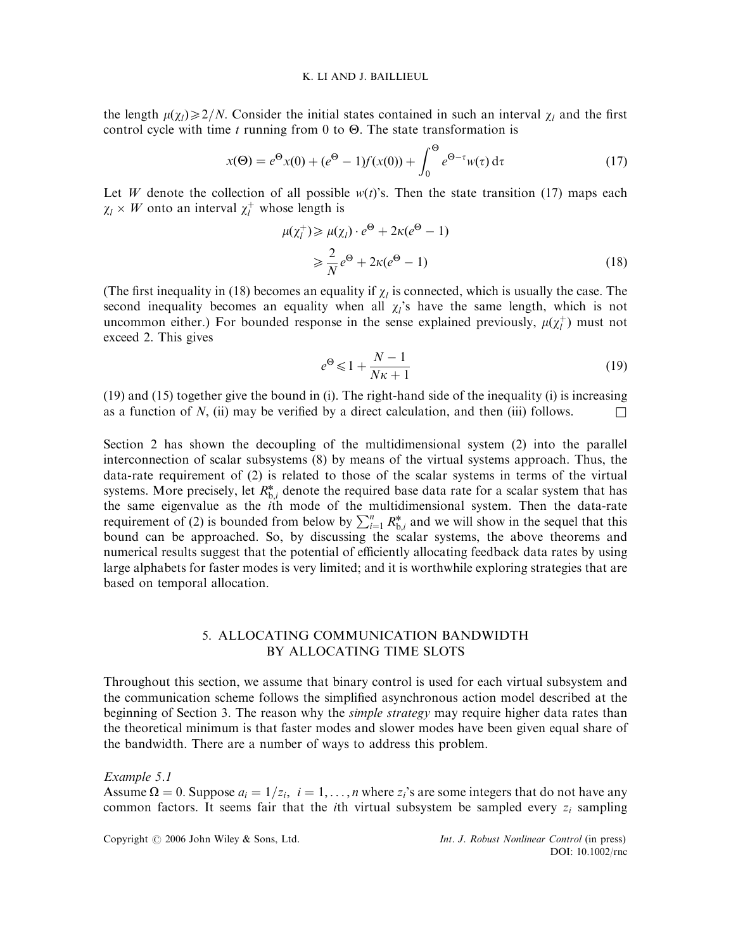the length  $\mu(\chi_l) \geq 2/N$ . Consider the initial states contained in such an interval  $\chi_l$  and the first control cycle with time  $t$  running from 0 to  $\Theta$ . The state transformation is

$$
x(\Theta) = e^{\Theta}x(0) + (e^{\Theta} - 1)f(x(0)) + \int_0^{\Theta} e^{\Theta - \tau}w(\tau) d\tau
$$
\n(17)

Let W denote the collection of all possible  $w(t)$ 's. Then the state transition (17) maps each  $\chi_l \times W$  onto an interval  $\chi_l^+$  whose length is

$$
\mu(\chi_l^+) \ge \mu(\chi_l) \cdot e^{\Theta} + 2\kappa(e^{\Theta} - 1)
$$
  

$$
\ge \frac{2}{N} e^{\Theta} + 2\kappa(e^{\Theta} - 1)
$$
 (18)

(The first inequality in (18) becomes an equality if  $\chi_l$  is connected, which is usually the case. The second inequality becomes an equality when all  $\chi_i$ 's have the same length, which is not uncommon either.) For bounded response in the sense explained previously,  $\mu(\chi_l^+)$  must not exceed 2. This gives

$$
e^{\Theta} \leqslant 1 + \frac{N-1}{N\kappa + 1} \tag{19}
$$

(19) and (15) together give the bound in (i). The right-hand side of the inequality (i) is increasing as a function of N, (ii) may be verified by a direct calculation, and then (iii) follows.  $\Box$ 

Section 2 has shown the decoupling of the multidimensional system (2) into the parallel interconnection of scalar subsystems (8) by means of the virtual systems approach. Thus, the data-rate requirement of (2) is related to those of the scalar systems in terms of the virtual systems. More precisely, let  $R_{b,i}^*$  denote the required base data rate for a scalar system that has the same eigenvalue as the ith mode of the multidimensional system. Then the data-rate requirement of (2) is bounded from below by  $\sum_{i=1}^{n} R_{b,i}^*$  and we will show in the sequel that this bound can be approached. So, by discussing the scalar systems, the above theorems and numerical results suggest that the potential of efficiently allocating feedback data rates by using large alphabets for faster modes is very limited; and it is worthwhile exploring strategies that are based on temporal allocation.

## 5. ALLOCATING COMMUNICATION BANDWIDTH BY ALLOCATING TIME SLOTS

Throughout this section, we assume that binary control is used for each virtual subsystem and the communication scheme follows the simplified asynchronous action model described at the beginning of Section 3. The reason why the *simple strategy* may require higher data rates than the theoretical minimum is that faster modes and slower modes have been given equal share of the bandwidth. There are a number of ways to address this problem.

Example 5.1

Assume  $\Omega = 0$ . Suppose  $a_i = 1/z_i$ ,  $i = 1, ..., n$  where  $z_i$ 's are some integers that do not have any common factors. It seems fair that the *i*th virtual subsystem be sampled every  $z_i$  sampling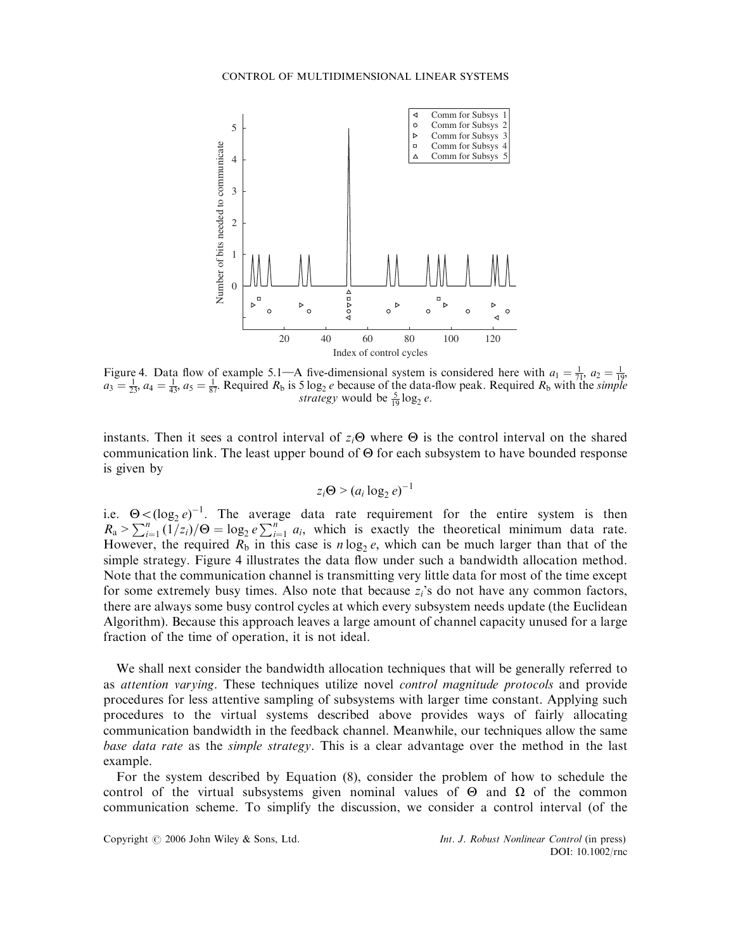

Figure 4. Data flow of example 5.1—A five-dimensional system is considered here with  $a_1 = \frac{1}{7!}$ ,  $a_2 = \frac{1}{19}$ .  $a_3 = \frac{1}{23}$ ,  $a_4 = \frac{1}{43}$ ,  $a_5 = \frac{1}{87}$ . Required  $R_b$  is 5 log<sub>2</sub> e because of the data-flow peak. Required  $R_b$  with the *simple* strategy would be  $\frac{5}{19}$  log<sub>2</sub> e.

instants. Then it sees a control interval of  $z_i\Theta$  where  $\Theta$  is the control interval on the shared communication link. The least upper bound of  $\Theta$  for each subsystem to have bounded response is given by

$$
z_i \Theta > (a_i \log_2 e)^{-1}
$$

i.e.  $\Theta \leq (\log_2 e)^{-1}$ . The average data rate requirement for the entire system is then  $R_{\rm a}$  >  $\sum_{i=1}^{n} (1/z_i)/\Theta = \log_2 e \sum_{i=1}^{n} a_i$ , which is exactly the theoretical minimum data rate. However, the required  $R_b$  in this case is  $n \log_2 e$ , which can be much larger than that of the simple strategy. Figure 4 illustrates the data flow under such a bandwidth allocation method. Note that the communication channel is transmitting very little data for most of the time except for some extremely busy times. Also note that because  $z_i$ 's do not have any common factors, there are always some busy control cycles at which every subsystem needs update (the Euclidean Algorithm). Because this approach leaves a large amount of channel capacity unused for a large fraction of the time of operation, it is not ideal.

We shall next consider the bandwidth allocation techniques that will be generally referred to as attention varying. These techniques utilize novel control magnitude protocols and provide procedures for less attentive sampling of subsystems with larger time constant. Applying such procedures to the virtual systems described above provides ways of fairly allocating communication bandwidth in the feedback channel. Meanwhile, our techniques allow the same base data rate as the simple strategy. This is a clear advantage over the method in the last example.

For the system described by Equation (8), consider the problem of how to schedule the control of the virtual subsystems given nominal values of  $\Theta$  and  $\Omega$  of the common communication scheme. To simplify the discussion, we consider a control interval (of the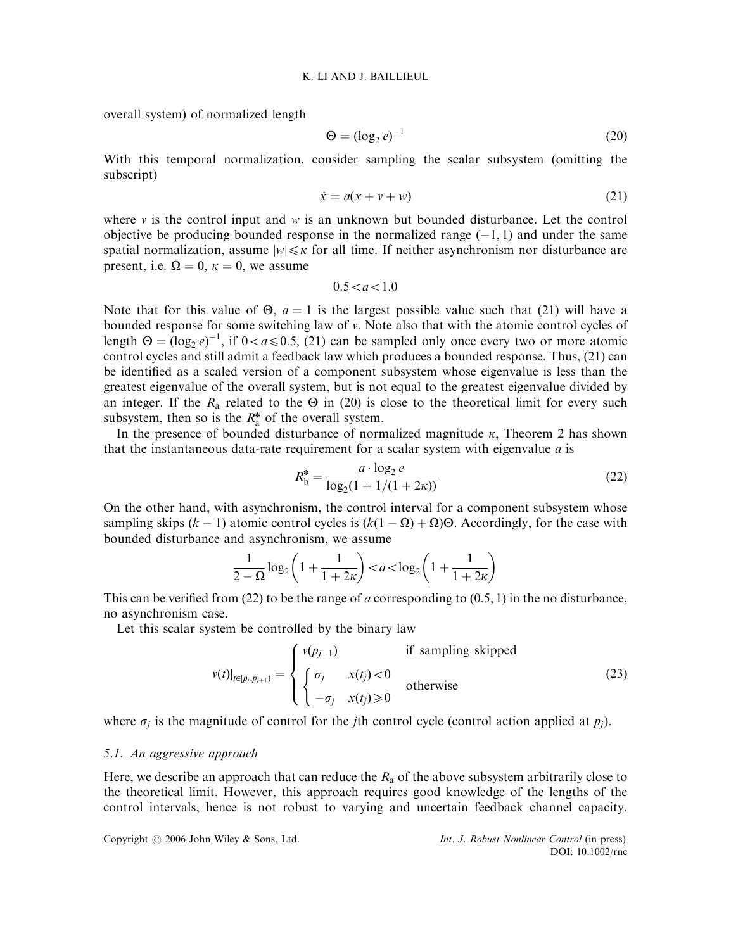overall system) of normalized length

$$
\Theta = (\log_2 e)^{-1} \tag{20}
$$

With this temporal normalization, consider sampling the scalar subsystem (omitting the subscript)

$$
\dot{x} = a(x + v + w) \tag{21}
$$

where  $\nu$  is the control input and  $\nu$  is an unknown but bounded disturbance. Let the control objective be producing bounded response in the normalized range  $(-1, 1)$  and under the same spatial normalization, assume  $|w| \leq \kappa$  for all time. If neither asynchronism nor disturbance are present, i.e.  $\Omega = 0$ ,  $\kappa = 0$ , we assume

0:55a51:0

Note that for this value of  $\Theta$ ,  $a = 1$  is the largest possible value such that (21) will have a bounded response for some switching law of  $\nu$ . Note also that with the atomic control cycles of length  $\Theta = (\log_2 e)^{-1}$ , if  $0 < a \le 0.5$ , (21) can be sampled only once every two or more atomic control cycles and still admit a feedback law which produces a bounded response. Thus, (21) can be identified as a scaled version of a component subsystem whose eigenvalue is less than the greatest eigenvalue of the overall system, but is not equal to the greatest eigenvalue divided by an integer. If the  $R_a$  related to the  $\Theta$  in (20) is close to the theoretical limit for every such subsystem, then so is the  $R_a^*$  of the overall system.

In the presence of bounded disturbance of normalized magnitude  $\kappa$ , Theorem 2 has shown that the instantaneous data-rate requirement for a scalar system with eigenvalue  $a$  is

$$
R_b^* = \frac{a \cdot \log_2 e}{\log_2(1 + 1/(1 + 2\kappa))}
$$
(22)

On the other hand, with asynchronism, the control interval for a component subsystem whose sampling skips  $(k - 1)$  atomic control cycles is  $(k(1 - \Omega) + \Omega)$ . Accordingly, for the case with bounded disturbance and asynchronism, we assume

$$
\frac{1}{2-\Omega}\log_2\left(1+\frac{1}{1+2\kappa}\right) < a < \log_2\left(1+\frac{1}{1+2\kappa}\right)
$$

This can be verified from (22) to be the range of a corresponding to  $(0.5, 1)$  in the no disturbance, no asynchronism case.

Let this scalar system be controlled by the binary law

$$
v(t)|_{t\in[p_j, p_{j+1})} = \begin{cases} v(p_{j-1}) & \text{if sampling skipped} \\ \begin{cases} \sigma_j & x(t_j) < 0 \\ -\sigma_j & x(t_j) \ge 0 \end{cases} & \text{otherwise} \end{cases}
$$
 (23)

where  $\sigma_i$  is the magnitude of control for the *j*th control cycle (control action applied at  $p_i$ ).

## 5.1. An aggressive approach

Here, we describe an approach that can reduce the  $R_a$  of the above subsystem arbitrarily close to the theoretical limit. However, this approach requires good knowledge of the lengths of the control intervals, hence is not robust to varying and uncertain feedback channel capacity.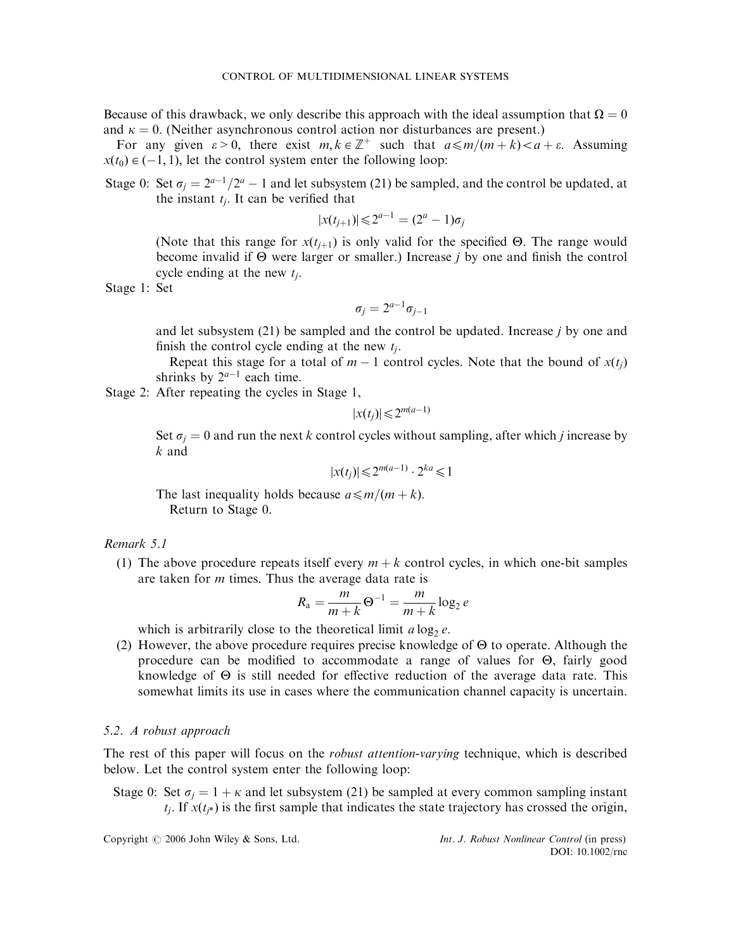Because of this drawback, we only describe this approach with the ideal assumption that  $\Omega = 0$ and  $\kappa = 0$ . (Neither asynchronous control action nor disturbances are present.)

For any given  $\varepsilon > 0$ , there exist  $m, k \in \mathbb{Z}^+$  such that  $a \leq m/(m+k) < a+\varepsilon$ . Assuming  $x(t_0) \in (-1, 1)$ , let the control system enter the following loop:

Stage 0: Set  $\sigma_i = 2^{a-1}/2^a - 1$  and let subsystem (21) be sampled, and the control be updated, at the instant  $t_i$ . It can be verified that

$$
|x(t_{j+1})| \leq 2^{a-1} = (2^a - 1)\sigma_j
$$

(Note that this range for  $x(t_{i+1})$  is only valid for the specified  $\Theta$ . The range would become invalid if  $\Theta$  were larger or smaller.) Increase *j* by one and finish the control cycle ending at the new  $t_i$ .

Stage 1: Set

$$
\sigma_j=2^{a-1}\sigma_{j-1}
$$

and let subsystem  $(21)$  be sampled and the control be updated. Increase *j* by one and finish the control cycle ending at the new  $t_i$ .

Repeat this stage for a total of  $m-1$  control cycles. Note that the bound of  $x(t_i)$ shrinks by  $2^{a-1}$  each time.

Stage 2: After repeating the cycles in Stage 1,

$$
|x(t_j)| \leq 2^{m(a-1)}
$$

Set  $\sigma_i = 0$  and run the next k control cycles without sampling, after which j increase by k and

$$
|x(t_j)| \leq 2^{m(a-1)} \cdot 2^{ka} \leq 1
$$

The last inequality holds because  $a \leq m/(m+k)$ . Return to Stage 0.

## Remark 5.1

(1) The above procedure repeats itself every  $m + k$  control cycles, in which one-bit samples are taken for m times. Thus the average data rate is

$$
R_{\rm a} = \frac{m}{m+k} \Theta^{-1} = \frac{m}{m+k} \log_2 e
$$

which is arbitrarily close to the theoretical limit  $a \log_2 e$ .

(2) However, the above procedure requires precise knowledge of  $\Theta$  to operate. Although the procedure can be modified to accommodate a range of values for  $\Theta$ , fairly good knowledge of  $\Theta$  is still needed for effective reduction of the average data rate. This somewhat limits its use in cases where the communication channel capacity is uncertain.

## 5.2. A robust approach

The rest of this paper will focus on the *robust attention-varying* technique, which is described below. Let the control system enter the following loop:

Stage 0: Set  $\sigma_j = 1 + \kappa$  and let subsystem (21) be sampled at every common sampling instant  $t_i$ . If  $x(t_{i*})$  is the first sample that indicates the state trajectory has crossed the origin,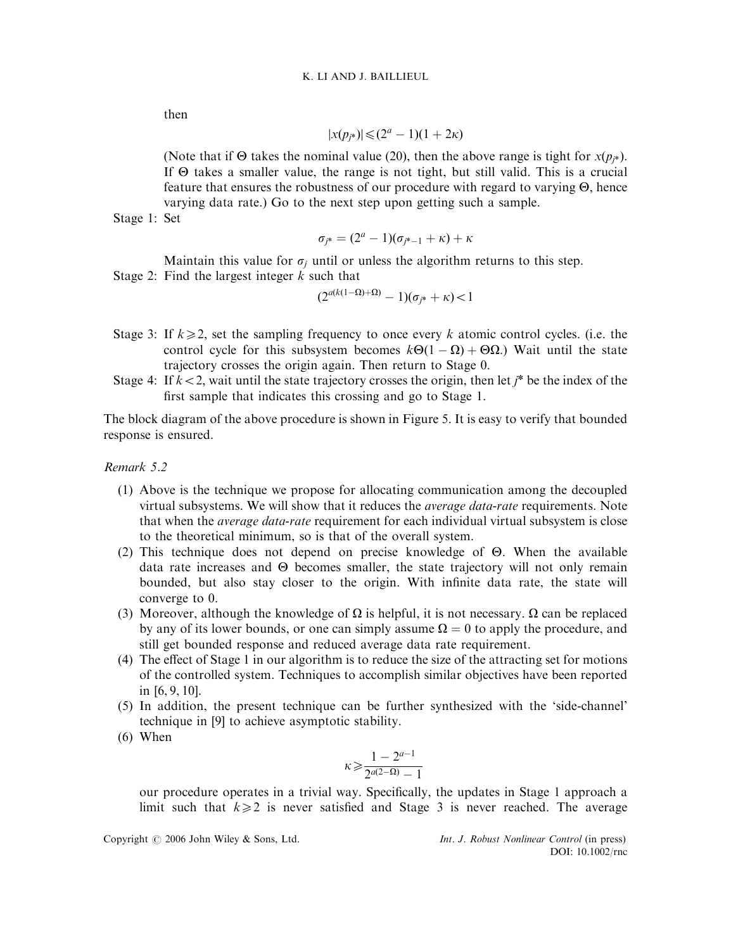then

$$
|x(p_{j^*})| \leq (2^a - 1)(1 + 2\kappa)
$$

(Note that if  $\Theta$  takes the nominal value (20), then the above range is tight for  $x(p_{i*})$ . If  $\Theta$  takes a smaller value, the range is not tight, but still valid. This is a crucial feature that ensures the robustness of our procedure with regard to varying  $\Theta$ , hence varying data rate.) Go to the next step upon getting such a sample.

Stage 1: Set

$$
\sigma_{j^*} = (2^a - 1)(\sigma_{j^*-1} + \kappa) + \kappa
$$

Maintain this value for  $\sigma_i$  until or unless the algorithm returns to this step. Stage 2: Find the largest integer  $k$  such that

$$
(2^{a(k(1-\Omega)+\Omega)}-1)(\sigma_{j^*}+\kappa)<1
$$

- Stage 3: If  $k \ge 2$ , set the sampling frequency to once every k atomic control cycles. (i.e. the control cycle for this subsystem becomes  $k\Theta(1 - \Omega) + \Theta\Omega$ .) Wait until the state trajectory crosses the origin again. Then return to Stage 0.
- Stage 4: If  $k < 2$ , wait until the state trajectory crosses the origin, then let  $j^*$  be the index of the first sample that indicates this crossing and go to Stage 1.

The block diagram of the above procedure is shown in Figure 5. It is easy to verify that bounded response is ensured.

## Remark 5.2

- (1) Above is the technique we propose for allocating communication among the decoupled virtual subsystems. We will show that it reduces the *average data-rate* requirements. Note that when the *average data-rate* requirement for each individual virtual subsystem is close to the theoretical minimum, so is that of the overall system.
- (2) This technique does not depend on precise knowledge of  $\Theta$ . When the available data rate increases and  $\Theta$  becomes smaller, the state trajectory will not only remain bounded, but also stay closer to the origin. With infinite data rate, the state will converge to 0.
- (3) Moreover, although the knowledge of  $\Omega$  is helpful, it is not necessary.  $\Omega$  can be replaced by any of its lower bounds, or one can simply assume  $\Omega = 0$  to apply the procedure, and still get bounded response and reduced average data rate requirement.
- (4) The effect of Stage 1 in our algorithm is to reduce the size of the attracting set for motions of the controlled system. Techniques to accomplish similar objectives have been reported in [6, 9, 10].
- (5) In addition, the present technique can be further synthesized with the 'side-channel' technique in [9] to achieve asymptotic stability.
- (6) When

$$
\kappa \geqslant \frac{1-2^{a-1}}{2^{a(2-\Omega)}-1}
$$

our procedure operates in a trivial way. Specifically, the updates in Stage 1 approach a limit such that  $k \ge 2$  is never satisfied and Stage 3 is never reached. The average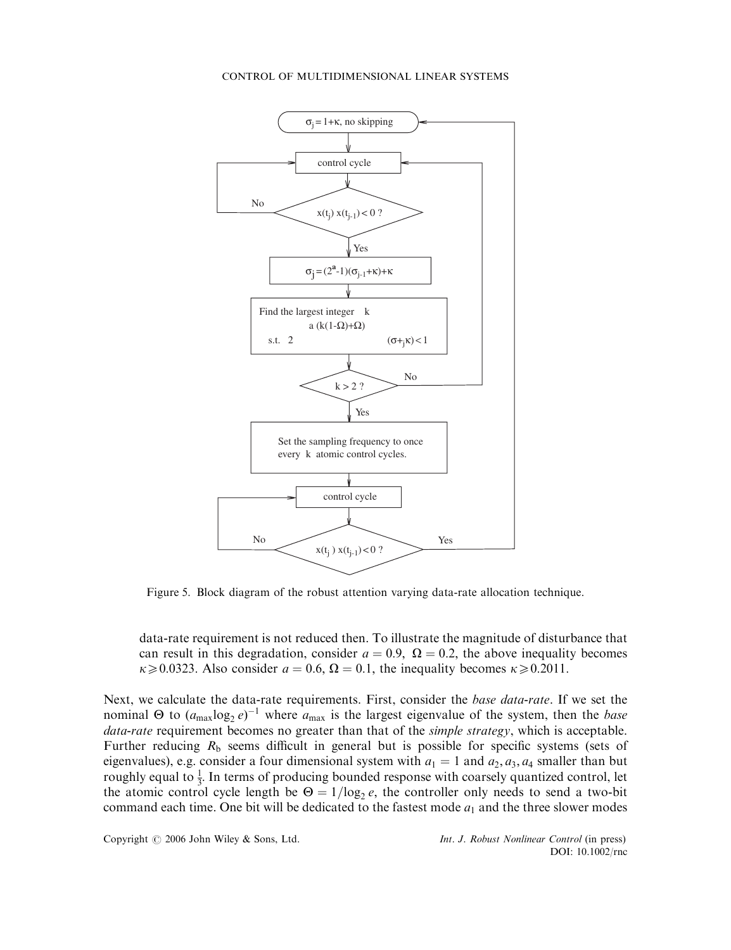

Figure 5. Block diagram of the robust attention varying data-rate allocation technique.

data-rate requirement is not reduced then. To illustrate the magnitude of disturbance that can result in this degradation, consider  $a = 0.9$ ,  $\Omega = 0.2$ , the above inequality becomes  $\kappa \geq 0.0323$ . Also consider  $a = 0.6$ ,  $\Omega = 0.1$ , the inequality becomes  $\kappa \geq 0.2011$ .

Next, we calculate the data-rate requirements. First, consider the *base data-rate*. If we set the nominal  $\Theta$  to  $(a_{\text{max}} \log_2 e)^{-1}$  where  $a_{\text{max}}$  is the largest eigenvalue of the system, then the *base* data-rate requirement becomes no greater than that of the *simple strategy*, which is acceptable. Further reducing  $R<sub>b</sub>$  seems difficult in general but is possible for specific systems (sets of eigenvalues), e.g. consider a four dimensional system with  $a_1 = 1$  and  $a_2, a_3, a_4$  smaller than but roughly equal to  $\frac{1}{3}$ . In terms of producing bounded response with coarsely quantized control, let the atomic control cycle length be  $\Theta = 1/log_2 e$ , the controller only needs to send a two-bit command each time. One bit will be dedicated to the fastest mode  $a_1$  and the three slower modes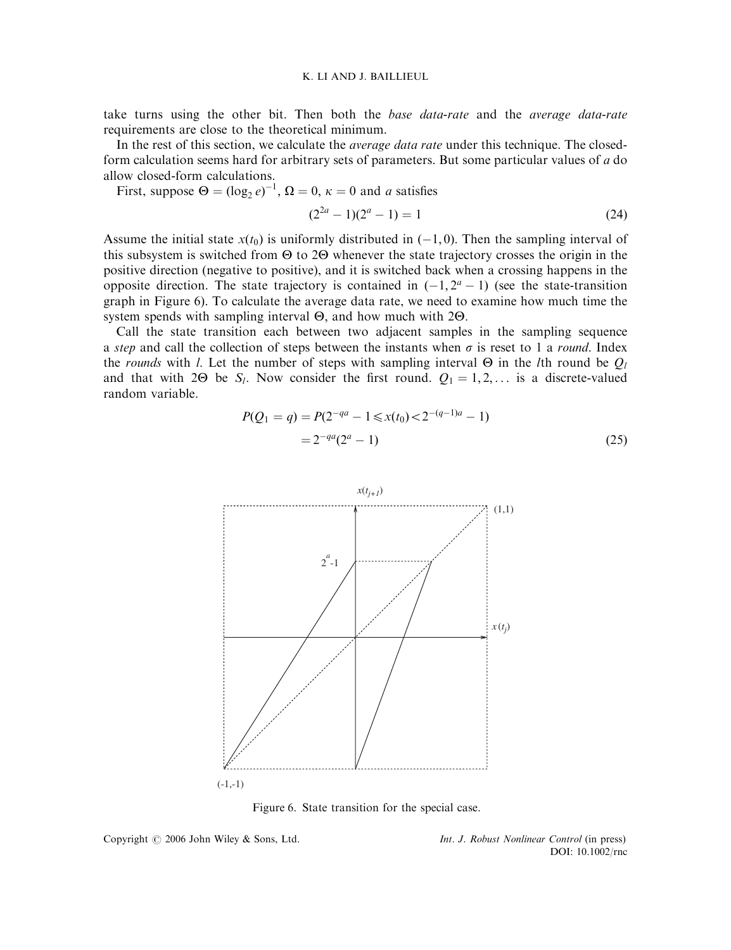take turns using the other bit. Then both the base data-rate and the average data-rate requirements are close to the theoretical minimum.

In the rest of this section, we calculate the *average data rate* under this technique. The closedform calculation seems hard for arbitrary sets of parameters. But some particular values of  $a$  do allow closed-form calculations.

First, suppose  $\Theta = (\log_2 e)^{-1}$ ,  $\Omega = 0$ ,  $\kappa = 0$  and a satisfies

$$
(2^{2a} - 1)(2^a - 1) = 1 \tag{24}
$$

Assume the initial state  $x(t_0)$  is uniformly distributed in  $(-1, 0)$ . Then the sampling interval of this subsystem is switched from  $\Theta$  to 2 $\Theta$  whenever the state trajectory crosses the origin in the positive direction (negative to positive), and it is switched back when a crossing happens in the opposite direction. The state trajectory is contained in  $(-1, 2^a - 1)$  (see the state-transition graph in Figure 6). To calculate the average data rate, we need to examine how much time the system spends with sampling interval  $\Theta$ , and how much with 2 $\Theta$ .

Call the state transition each between two adjacent samples in the sampling sequence a step and call the collection of steps between the instants when  $\sigma$  is reset to 1 a round. Index the rounds with l. Let the number of steps with sampling interval  $\Theta$  in the lth round be  $Q_l$ and that with 2 $\Theta$  be S<sub>l</sub>. Now consider the first round.  $Q_1 = 1, 2, \ldots$  is a discrete-valued random variable.

$$
P(Q_1 = q) = P(2^{-qa} - 1 \le x(t_0) < 2^{-(q-1)a} - 1) \\
= 2^{-qa}(2^a - 1) \tag{25}
$$



Figure 6. State transition for the special case.

Copyright  $\odot$  2006 John Wiley & Sons, Ltd. Int. J. Robust Nonlinear Control (in press)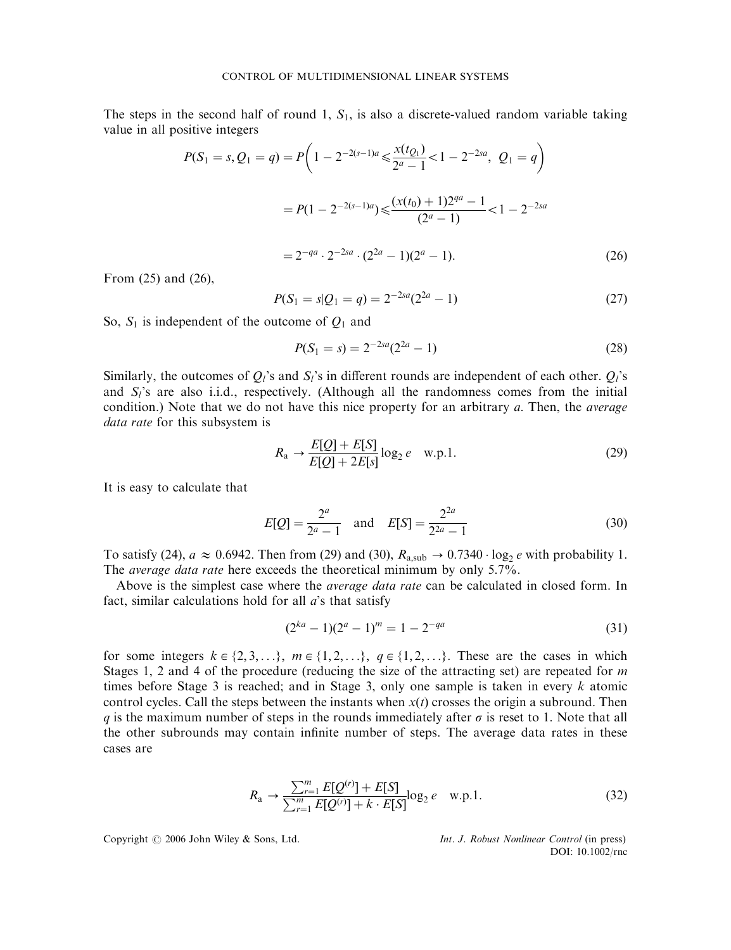The steps in the second half of round 1,  $S_1$ , is also a discrete-valued random variable taking value in all positive integers

$$
P(S_1 = s, Q_1 = q) = P\left(1 - 2^{-2(s-1)a} \le \frac{x(t_{Q_1})}{2^a - 1} < 1 - 2^{-2sa}, \ Q_1 = q\right)
$$
  
=  $P(1 - 2^{-2(s-1)a}) \le \frac{(x(t_0) + 1)2^{qa} - 1}{(2^a - 1)} < 1 - 2^{-2sa}$   
=  $2^{-qa} \cdot 2^{-2sa} \cdot (2^{2a} - 1)(2^a - 1).$  (26)

From (25) and (26),

$$
P(S_1 = s | Q_1 = q) = 2^{-2sa} (2^{2a} - 1)
$$
\n(27)

So,  $S_1$  is independent of the outcome of  $Q_1$  and

$$
P(S_1 = s) = 2^{-2sa}(2^{2a} - 1)
$$
\n(28)

Similarly, the outcomes of  $Q_i$ 's and  $S_i$ 's in different rounds are independent of each other.  $Q_i$ 's and  $S_i$ 's are also i.i.d., respectively. (Although all the randomness comes from the initial condition.) Note that we do not have this nice property for an arbitrary  $a$ . Then, the *average* data rate for this subsystem is

$$
R_{\rm a} \to \frac{E[Q] + E[S]}{E[Q] + 2E[s]} \log_2 e \quad \text{w.p.1.}
$$
 (29)

It is easy to calculate that

$$
E[Q] = \frac{2^a}{2^a - 1} \quad \text{and} \quad E[S] = \frac{2^{2a}}{2^{2a} - 1} \tag{30}
$$

To satisfy (24),  $a \approx 0.6942$ . Then from (29) and (30),  $R_{a,sub} \rightarrow 0.7340 \cdot \log_2 e$  with probability 1. The *average data rate* here exceeds the theoretical minimum by only 5.7%.

Above is the simplest case where the *average data rate* can be calculated in closed form. In fact, similar calculations hold for all  $a$ 's that satisfy

$$
(2^{ka} - 1)(2^a - 1)^m = 1 - 2^{-qa} \tag{31}
$$

for some integers  $k \in \{2, 3, \ldots\}$ ,  $m \in \{1, 2, \ldots\}$ ,  $q \in \{1, 2, \ldots\}$ . These are the cases in which Stages 1, 2 and 4 of the procedure (reducing the size of the attracting set) are repeated for  $m$ times before Stage 3 is reached; and in Stage 3, only one sample is taken in every  $k$  atomic control cycles. Call the steps between the instants when  $x(t)$  crosses the origin a subround. Then q is the maximum number of steps in the rounds immediately after  $\sigma$  is reset to 1. Note that all the other subrounds may contain infinite number of steps. The average data rates in these cases are

$$
R_{\rm a} \to \frac{\sum_{r=1}^{m} E[Q^{(r)}] + E[S]}{\sum_{r=1}^{m} E[Q^{(r)}] + k \cdot E[S]} \log_2 e \quad \text{w.p.1.}
$$
 (32)

Copyright  $\odot$  2006 John Wiley & Sons, Ltd. Int. J. Robust Nonlinear Control (in press)

DOI: 10.1002/rnc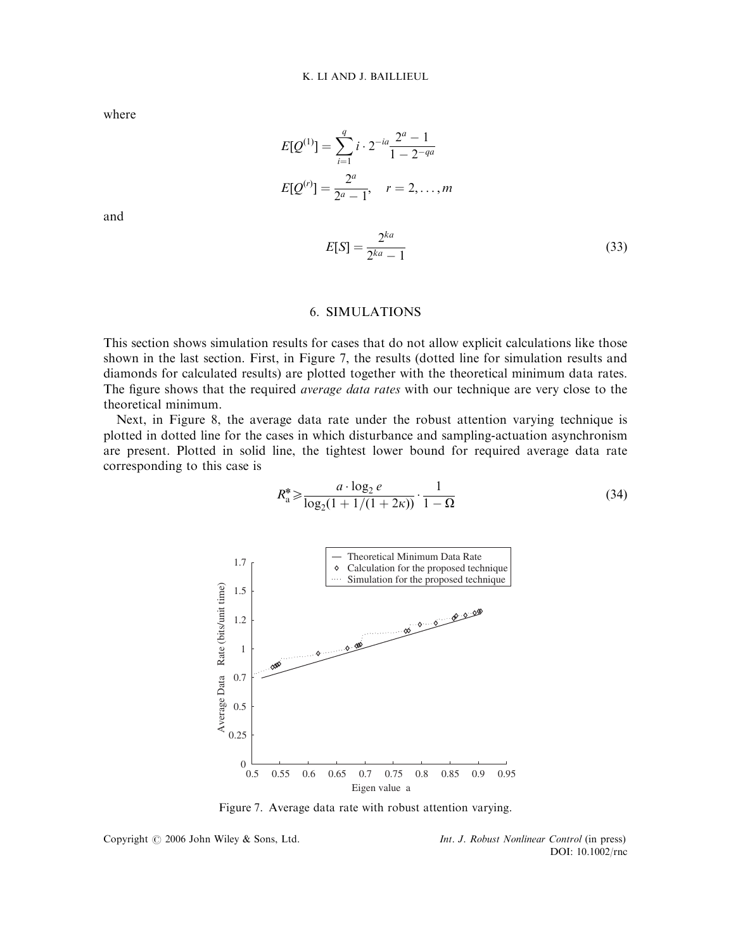where

$$
E[Q^{(1)}] = \sum_{i=1}^{q} i \cdot 2^{-ia} \frac{2^{a} - 1}{1 - 2^{-qa}}
$$
  
\n
$$
E[Q^{(r)}] = \frac{2^{a}}{2^{a} - 1}, \quad r = 2, ..., m
$$
  
\n
$$
E[S] = \frac{2^{ka}}{2^{ka} - 1}
$$
 (33)

#### 6. SIMULATIONS

This section shows simulation results for cases that do not allow explicit calculations like those shown in the last section. First, in Figure 7, the results (dotted line for simulation results and diamonds for calculated results) are plotted together with the theoretical minimum data rates. The figure shows that the required average data rates with our technique are very close to the theoretical minimum.

Next, in Figure 8, the average data rate under the robust attention varying technique is plotted in dotted line for the cases in which disturbance and sampling-actuation asynchronism are present. Plotted in solid line, the tightest lower bound for required average data rate corresponding to this case is

$$
R_{a}^{*} \geqslant \frac{a \cdot \log_{2} e}{\log_{2}(1 + 1/(1 + 2\kappa))} \cdot \frac{1}{1 - \Omega}
$$
\n(34)



Figure 7. Average data rate with robust attention varying.

Copyright  $\odot$  2006 John Wiley & Sons, Ltd. Int. J. Robust Nonlinear Control (in press) DOI: 10.1002/rnc

and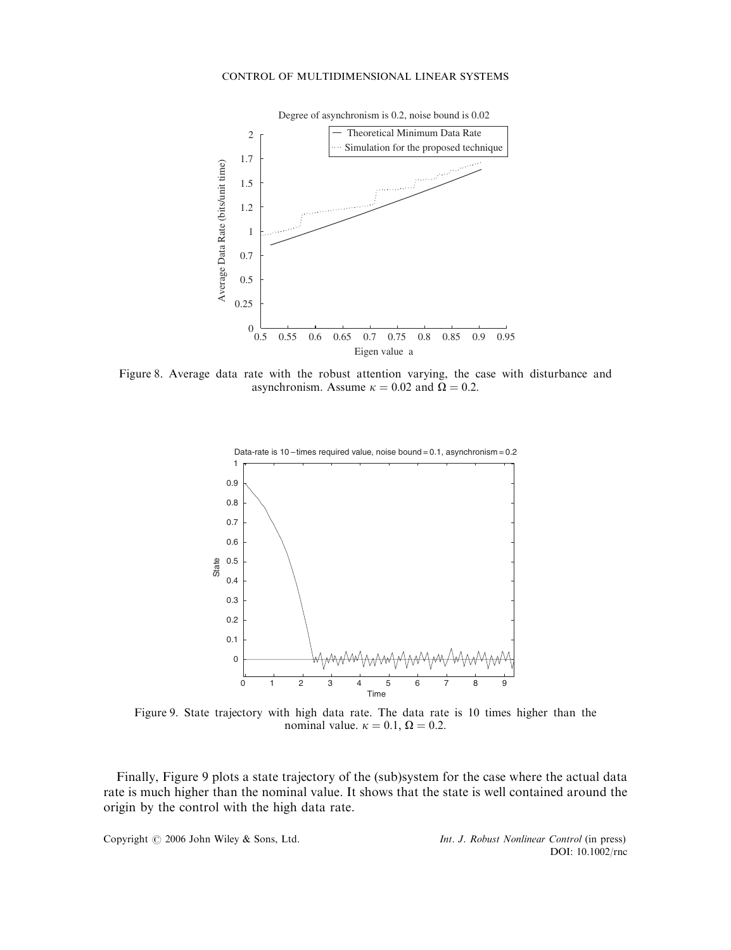

Figure 8. Average data rate with the robust attention varying, the case with disturbance and asynchronism. Assume  $\kappa = 0.02$  and  $\Omega = 0.2$ .



Figure 9. State trajectory with high data rate. The data rate is 10 times higher than the nominal value.  $\kappa = 0.1$ ,  $\Omega = 0.2$ .

Finally, Figure 9 plots a state trajectory of the (sub)system for the case where the actual data rate is much higher than the nominal value. It shows that the state is well contained around the origin by the control with the high data rate.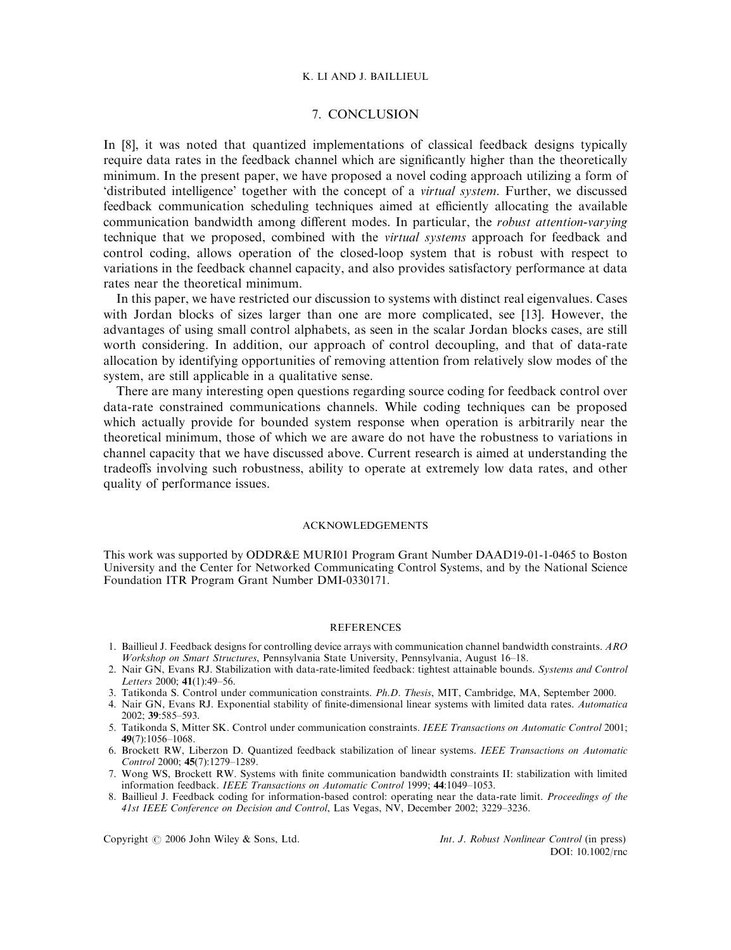#### 7. CONCLUSION

In [8], it was noted that quantized implementations of classical feedback designs typically require data rates in the feedback channel which are significantly higher than the theoretically minimum. In the present paper, we have proposed a novel coding approach utilizing a form of 'distributed intelligence' together with the concept of a virtual system. Further, we discussed feedback communication scheduling techniques aimed at efficiently allocating the available communication bandwidth among different modes. In particular, the robust attention-varying technique that we proposed, combined with the virtual systems approach for feedback and control coding, allows operation of the closed-loop system that is robust with respect to variations in the feedback channel capacity, and also provides satisfactory performance at data rates near the theoretical minimum.

In this paper, we have restricted our discussion to systems with distinct real eigenvalues. Cases with Jordan blocks of sizes larger than one are more complicated, see [13]. However, the advantages of using small control alphabets, as seen in the scalar Jordan blocks cases, are still worth considering. In addition, our approach of control decoupling, and that of data-rate allocation by identifying opportunities of removing attention from relatively slow modes of the system, are still applicable in a qualitative sense.

There are many interesting open questions regarding source coding for feedback control over data-rate constrained communications channels. While coding techniques can be proposed which actually provide for bounded system response when operation is arbitrarily near the theoretical minimum, those of which we are aware do not have the robustness to variations in channel capacity that we have discussed above. Current research is aimed at understanding the tradeoffs involving such robustness, ability to operate at extremely low data rates, and other quality of performance issues.

#### ACKNOWLEDGEMENTS

This work was supported by ODDR&E MURI01 Program Grant Number DAAD19-01-1-0465 to Boston University and the Center for Networked Communicating Control Systems, and by the National Science Foundation ITR Program Grant Number DMI-0330171.

## **REFERENCES**

- 1. Baillieul J. Feedback designs for controlling device arrays with communication channel bandwidth constraints. ARO Workshop on Smart Structures, Pennsylvania State University, Pennsylvania, August 16–18.
- 2. Nair GN, Evans RJ. Stabilization with data-rate-limited feedback: tightest attainable bounds. Systems and Control Letters 2000; 41(1):49–56.
- 3. Tatikonda S. Control under communication constraints. Ph.D. Thesis, MIT, Cambridge, MA, September 2000.
- 4. Nair GN, Evans RJ. Exponential stability of finite-dimensional linear systems with limited data rates. Automatica 2002; 39:585–593.
- 5. Tatikonda S, Mitter SK. Control under communication constraints. IEEE Transactions on Automatic Control 2001; 49(7):1056–1068.
- 6. Brockett RW, Liberzon D. Quantized feedback stabilization of linear systems. IEEE Transactions on Automatic Control 2000; 45(7):1279–1289.
- 7. Wong WS, Brockett RW. Systems with finite communication bandwidth constraints II: stabilization with limited information feedback. IEEE Transactions on Automatic Control 1999; 44:1049–1053.
- 8. Baillieul J. Feedback coding for information-based control: operating near the data-rate limit. Proceedings of the 41st IEEE Conference on Decision and Control, Las Vegas, NV, December 2002; 3229–3236.

Copyright  $\odot$  2006 John Wiley & Sons, Ltd. Int. J. Robust Nonlinear Control (in press)

DOI: 10.1002/rnc